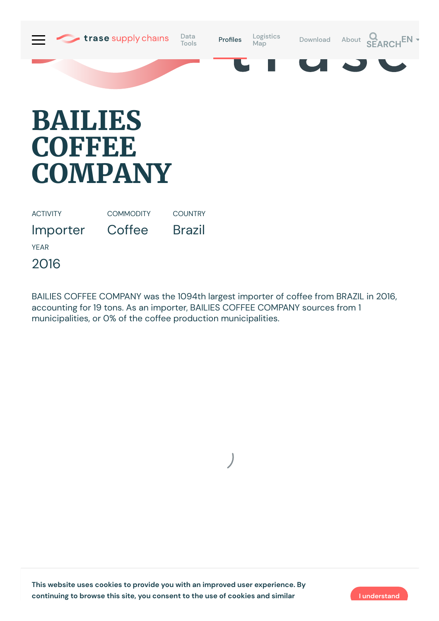

## **BAILIES COFFEE COMPANY**

ACTIVITY

**COMMODITY** 

Coffee

**COUNTRY** Brazil

Importer

YEAR

2016

BAILIES COFFEE COMPANY was the 1094th largest importer of coffee from BRAZIL in 2016, accounting for 19 tons. As an importer, BAILIES COFFEE COMPANY sources from 1 municipalities, or 0% of the coffee production municipalities.

**This website uses cookies to provide you with an improved user experience. By continuing to browse this site, you consent to the use of cookies and similar I understand**

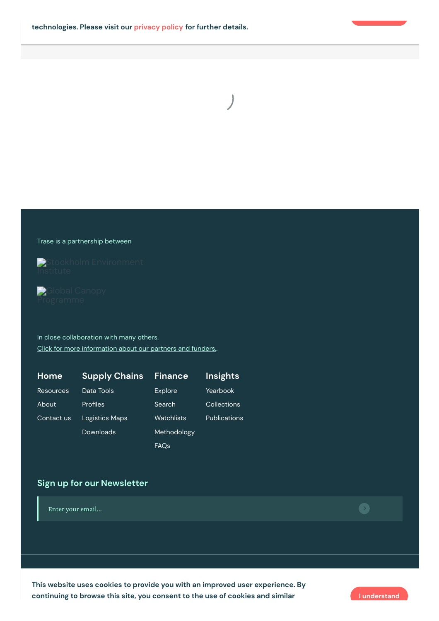

## Trase is a partnership between





In close collaboration with many others. Click for more [information](https://www.trase.earth/about/) about our partners and funders..

| <u>ˈH</u> ome』 | <b>Supply Chains</b> | <b>Finance</b>   | <b>Insights</b>     |
|----------------|----------------------|------------------|---------------------|
| Resources      | Data Tools           | Explore          | Yearbook            |
| About          | Profiles             | Search           | Collections         |
| Contact us     | Logistics Maps       | Watchlists       | <b>Publications</b> |
|                | Downloads            | Methodology      |                     |
|                |                      | FAQ <sub>s</sub> |                     |

## **Sign up for our Newsletter**

Enter your email...

continuing to browse this site, you consent to the use of cookies and similar and structure of the lunderstand **This website uses cookies to provide you with an improved user experience. By**

 $\bullet$